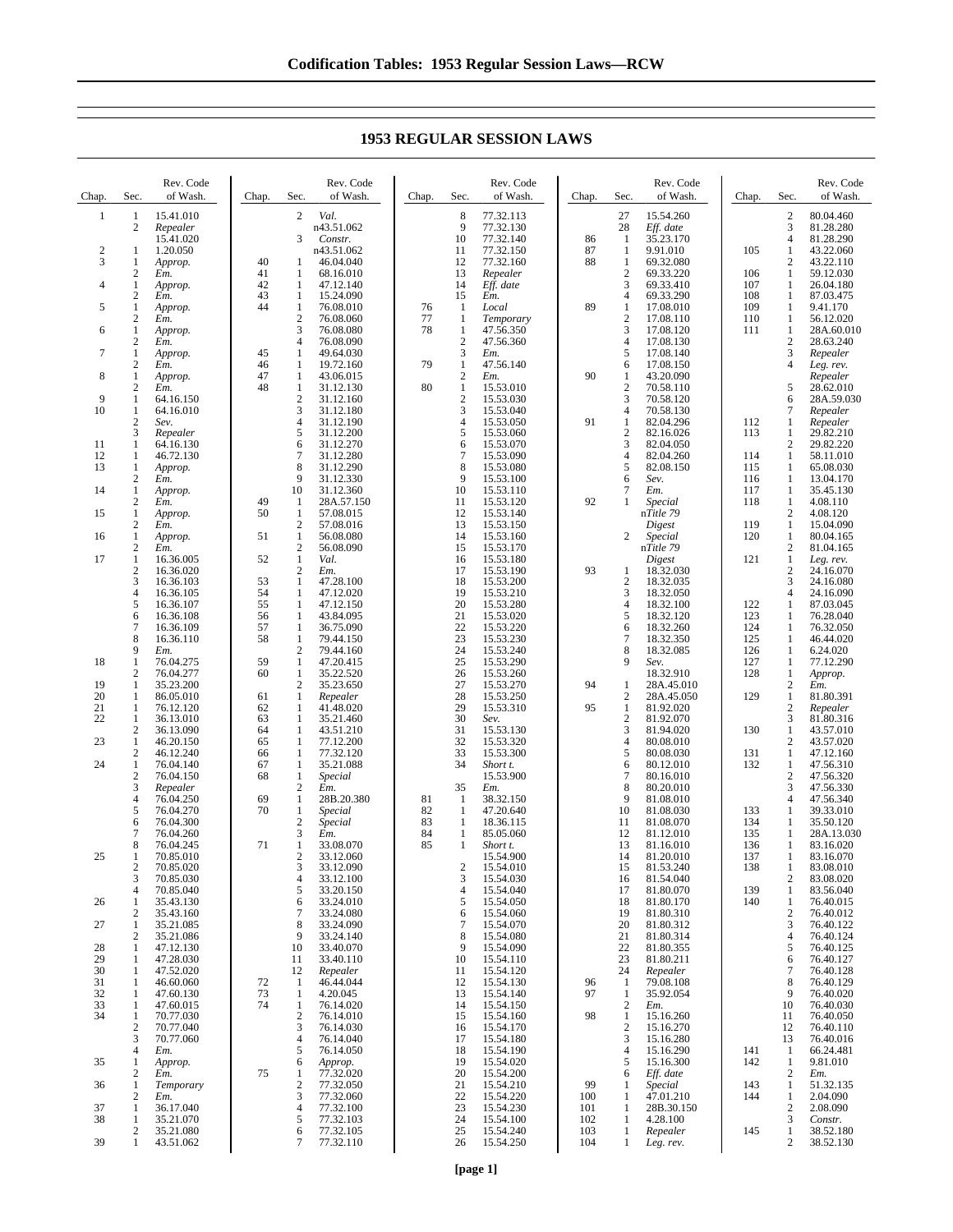Chap. Sec. Rev. Code of Wash. 1 15.41.010<br>2 Repeater 2 *Repealer* 15.41.020 2 1 1.20.050<br>3 1 Approp. 3 1 *Approp.* 2 *Em.* 4 1 *Approp.* 2 *Em.* 5 1 *Approp.* 2 *Em.* 6 1 *Approp.* 2 *Em.* 7 1 *Approp.* 2 *Em.* 8 1 *Approp.* 2 *Em.* 9 1 64.16.150  $\frac{1}{2}$  64.16.010 2 *Sev.* 3 *Repealer* 11 1 64.16.130 12 1 46.72.130<br>13 1 Approp. 13 1 *Approp.* 2 *Em.* 14 1 *Approp.* 2 *Em.* 15 1 *Approp.* 2 *Em.* 16 1 *Approp.*  $\frac{2}{1}$  *Em.*  $\frac{1}{2}$  16.36.005<br>16.36.020  $\begin{array}{r} 2 \ 3 \ 16.36.020 \ 3 \ 16.36.103 \end{array}$ 3 16.36.103 4 16.36.105<br>5 16.36.107 5 16.36.107<br>6 16.36.108  $6 \t16.36.108$ <br>7 16.36.109 7 16.36.109 8 16.36.110<br>9 *Em*. 9 *Em.* 18 1 76.04.275<br>2 76.04.277 2 76.04.277<br>1 35.23.200 19 1 35.23.200 20 1 86.05.010<br>21 1 76.12.120 21 1 76.12.120<br>22 1 36.13.010 1 36.13.010<br>2 36.13.090 2 36.13.090<br>1 46.20.150 23 1 46.20.150 2 46.12.240 24 1 76.04.140<br>2 76.04.150<br>3 *Repealer* 76.04.150 3 *Repealer*  $\frac{4}{5}$  76.04.250  $\begin{array}{r} 5 \\ 6 \\ \end{array} \quad \begin{array}{r} 76.04.270 \\ 76.04.300 \end{array}$ 6 76.04.300<br>7 76.04.260 7 76.04.260 8 76.04.245<br>1 70.85.010 25 1 70.85.010 2 70.85.020<br>3 70.85.030 3 70.85.030 4 70.85.040 26 1 35.43.130 2 35.43.160<br>1 35.21.085 27 1 35.21.085<br>2 35.21.086 2 35.21.086<br>1 47.12.130 28 1 47.12.130<br>29 1 47.28.030 29 1 47.28.030<br>30 1 47.52.020 30 1 47.52.020<br>31 1 46.60.060 31 1 46.60.060<br>32 1 47.60.130 32 1 47.60.130<br>33 1 47.60.015<br>34 1 70.77.030  $\frac{1}{1}$  47.60.015 1 70.77.030<br>2 70.77.040 2 70.77.040  $\frac{3}{4}$  70.77.060 4 *Em.* 35 1 *Approp.* 2 *Em.* 36 1 *Temporary* 2 *Em.* 37 1 36.17.040 38 1 35.21.070 2 35.21.080 Chap. Sec Rev. Code of Wash. 2 *Val.* n43.51.062 3 *Constr.* n43.51.062 40 1 46.04.040<br>41 1 68.16.010 41 1 68.16.010<br>42 1 47.12.140 42 1 47.12.140<br>43 1 15.24.090 43 1 15.24.090 76.08.010 2 76.08.060<br>3 76.08.080 3 76.08.080<br>4 76.08.090 76.08.090 45 1 49.64.030 46 1 19.72.160<br>47 1 43.06.015 47 1 43.06.015  $\begin{bmatrix} 1 & 31.12.130 \\ 2 & 31.12.160 \end{bmatrix}$ 2 31.12.160<br>3 31.12.180 3 31.12.180 31.12.190 5 31.12.200<br>6 31.12.270<br>7 31.12.280 31.12.270 7 31.12.280<br>8 31.12.290  $\begin{array}{r} 8 & 31.12.290 \\ 9 & 31.12.330 \end{array}$ 9 31.12.330 10 31.12.360 49 1 28A.57.150<br>50 1 57.08.015  $\frac{57.08.015}{2}$  57.08.016  $\begin{array}{r} 2 & 57.08.016 \\ 1 & 56.08.080 \end{array}$ 51 1 56.08.080 2 56.08.090<br>1 Val. 52 1 *Val.* 2 *Em.* 53 1 47.28.100 54 1 47.12.020 55 1 47.12.150 56 1 43.84.095<br>57 1 36.75.090 57 1 36.75.090 1 79.44.150 2 79.44.160<br>1 47.20.415 59 1 47.20.415  $\frac{1}{2}$  35.22.520<br>35.23.650 35.23.650 61 1 *Repealer*  $62$  1 41.48.020<br>  $63$  1 35.21.460 63 1 35.21.460 64 1 43.51.210 77.12.200 66 1 77.32.120 67 1 35.21.088 1 *Special*<br>2 *Em.*  $\begin{array}{cc} 2 & \dot{E}m \\ 1 & 28 \end{array}$ 69 1 28B.20.380<br>70 1 *Special* 70 1 *Special* 2 *Special*  $\frac{3}{1}$  *Em.* 71 1 33.08.070<br>2 33.12.060<br>3 33.12.090 33.12.060 3 33.12.090<br>4 33.12.100  $\begin{array}{r} 4 & 33.12.100 \\ 5 & 33.20.150 \end{array}$ 5 33.20.150<br>6 33.24.010  $6$  33.24.010<br>7 33.24.080 7 33.24.080 8 33.24.090<br>9 33.24.140 9 33.24.140<br>10 33.40.070 10 33.40.070 11 33.40.110<br>12 *Repealer* 12 *Repealer* 72 1 46.44.044 73 1 4.20.045<br>74 1 76.14.02  $\frac{1}{2}$  76.14.020 2 76.14.010<br>3 76.14.030  $\overline{3}$  76.14.030<br>4 76.14.040 4 76.14.040<br>5 76.14.050 76.14.050 6 *Approp.* 75 1 77.32.020 2 77.32.050<br>3 77.32.060 3 77.32.060<br>4 77.32.100 77.32.100 5 77.32.103 6 77.32.105 5 77.32.103<br>6 77.32.105<br>7 77.32.110 Chap. Sec Rev. Code of Wash. 8 77.32.113<br>9 77.32.130 9 77.32.130<br>10 77.32.140 10 77.32.140<br>11 77.32.150 11 77.32.150<br>12 77.32.160 12 77.32.160<br>13 *Renealer* 13 *Repealer* 14 *Eff. date* 15 *Em.* 76 1 *Local* 77 1 *Temporary* 78 1 47.56.350  $\frac{2}{3}$  47.56.360 3 *Em.*  $\begin{array}{cccc}\n 79 & 1 & 47.56.140 \\
& 2 & Em. \\
80 & 1 & 15.53.010\n \end{array}$ 2 *Em.* 80 1 15.53.010 2 15.53.030<br>3 15.53.040 3 15.53.040<br>4 15.53.050 4 15.53.050<br>5 15.53.060 5 15.53.060<br>6 15.53.070 6 15.53.070<br>7 15.53.090 7 15.53.090<br>8 15.53.080 8 15.53.080<br>9 15.53.100 9 15.53.100 10 15.53.110<br>11 15.53.120  $11$  15.53.120<br>12 15.53.140 12 15.53.140 13 15.53.150<br>14 15.53.160 15.53.160 15 15.53.170<br>16 15.53.180 16 15.53.180 17 15.53.190 18 15.53.200 19 15.53.210<br>20 15.53.280 20 15.53.280<br>21 15.53.020 21 15.53.020 22 15.53.220<br>23 15.53.230<br>24 15.53.240 15.53.230 24 15.53.240<br>25 15.53.290 25 15.53.290<br>26 15.53.260 26 15.53.260<br>27 15.53.270<br>28 15.53.250 15.53.270 28 15.53.250<br>29 15.53.310 29 15.53.310<br>30 *Sev*. 30 *Sev.* 31 15.53.130 32 15.53.320 33 15.53.300<br>34 *Short t.* Short t. 15.53.900 35 *Em.* 81 1 38.32.150 82 1 47.20.640<br>83 1 18.36.115 83 1 18.36.115<br>84 1 85.05.060 84 1 85.05.060<br>85 1 *Short t.* 85 1 *Short t.* 15.54.900 2 15.54.010<br>3 15.54.030 3 15.54.030  $\frac{4}{5}$  15.54.040 5 15.54.050<br>6 15.54.060 15.54.060 7 15.54.070<br>8 15.54.080 8 15.54.080<br>9 15.54.090  $\frac{9}{10}$  15.54.090 10 15.54.110<br>11 15.54.120 11 15.54.120<br>12 15.54.130 12 15.54.130<br>13 15.54.140 13 15.54.140<br>14 15.54.150 14 15.54.150 15 15.54.160 16 15.54.170<br>17 15.54.180 17 15.54.180 18 15.54.190<br>19 15.54.020<br>20 15.54.200 19 15.54.020 20 15.54.200 21 15.54.210<br>22 15.54.220 22 15.54.220<br>23 15.54.230 23 15.54.230<br>24 15.54.100<br>25 15.54.240 24 15.54.100 25 15.54.240 Chap. Sec Rev. Code of Wash. 27 15.54.260<br>28 *Eff. date* Eff. date  $\begin{array}{r}\n 86 \phantom{0} 1 \phantom{0} 35.23.170 \\
87 \phantom{0} 1 \phantom{0} 9.91.010\n \end{array}$ 87 1 9.91.010  $\frac{1}{2}$  69.32.080 2 69.33.220<br>3 69.33.410  $\overline{3}$  69.33.410<br>4 69.33.290 4 69.33.290<br>1 17.08.010 89 1 17.08.010 2 17.08.110<br>3 17.08.120 3 17.08.120<br>4 17.08.130  $\frac{4}{5}$  17.08.130<br>5 17.08.140 5 17.08.140<br>6 17.08.150 17.08.150 90 1 43.20.090<br>2 70.58.110  $\frac{2}{3}$  70.58.110<br>3 70.58.120 3 70.58.120 4 70.58.130<br>1 82.04.296 91 1 82.04.296<br>2 82.16.026<br>3 82.04.050 2 82.16.026  $\frac{82.04.050}{82.04.260}$ 4 82.04.260<br>5 82.08.150  $\begin{array}{cc} 5 & 82.08.150 \\ 6 & \textit{Sev.} \end{array}$ 6 *Sev.* 7 *Em.* 92 1 *Special* n*Title 79 Digest* 2 *Special* n*Title 79 Digest* 93 1 18.32.030<br>2 18.32.035 2 18.32.035<br>3 18.32.050 3 18.32.050<br>4 18.32.100<br>5 18.32.120 4 18.32.100 5 18.32.120 6 18.32.260<br>7 18.32.350 7 18.32.350 8 18.32.085<br>9 Sev. 9 *Sev.* 18.32.910 94 1 28A.45.010 2 28A.45.050 95 1 81.92.020 2 81.92.070<br>3 81.94.020  $\begin{array}{r} 3 \\ 4 \end{array} \quad \begin{array}{r} 81.94.020 \\ 80.08.010 \end{array}$ 4 80.08.010<br>5 80.08.030  $\begin{array}{r} 580.08.030 \\ 680.12.010 \\ 780.16.010 \end{array}$ 80.12.010  $\begin{array}{r} 7 & 80.16.010 \\ 8 & 80.20.010 \end{array}$  $\begin{array}{@{}c@{}} 8 & 80.20.010 \\ 9 & 81.08.010 \end{array}$ 9 81.08.010<br>10 81.08.030 81.08.030 11 81.08.070<br>12 81.12.010 12 81.12.010 13 81.16.010<br>14 81.20.010 14 81.20.010<br>15 81.53.240 15 81.53.240<br>16 81.54.040 16 81.54.040<br>17 81.80.070 17 81.80.070<br>18 81.80.170 18 81.80.170 19 81.80.310 20 81.80.312<br>21 81.80.314 21 81.80.314<br>22 81.80.355<br>23 81.80.211 81.80.355 23 81.80.211<br>24 *Repealer* 24 *Repealer* 96 1 79.08.108<br>97 1 35.92.054  $\frac{1}{2}$  35.92.054 2 *Em.* 98 1 15.16.260 2 15.16.270 3 15.16.280 4 15.16.290<br>5 15.16.300 5 15.16.300<br>6 *Eff. date* 6 *Eff. date* 99 1 *Special* 100 1 47.01.210<br>101 1 28B.30.15 101 1 28B.30.150<br>102 1 4.28.100 102 1 4.28.100<br>103 1 Repealer Chap. Sec. Rev. Code of Wash. 2 80.04.460<br>3 81.28.280 3 81.28.280 4 81.28.290<br>1 43.22.060 105 1 43.22.060<br>2 43.22.110  $\begin{array}{cc}\n 2 & 43.22.110 \\
1 & 59.12.030\n \end{array}$ 106 1 59.12.030<br>107 1 26.04.180 107 1 26.04.180<br>108 1 87.03.475 108 1 87.03.475<br>109 1 9.41.170 109 1 9.41.170<br>110 1 56.12.020 110 1 56.12.020<br>111 1 28A.60.01  $\begin{array}{cc}\n 1 & 28A.60.010 \\
2 & 28.63.240\n \end{array}$ 2 28.63.240<br>3 *Repealer* 3 *Repealer* Leg. rev. *Repealer* 5 28.62.010 6 28A.59.030 7 *Repealer* 112 1 *Repealer*  $\frac{1}{2}$  29.82.210  $\begin{array}{r} 2 & 29.82.210 \\ 2 & 29.82.220 \\ 1 & 58.11.010 \end{array}$  $\begin{array}{ccc} 114 & 1 & 58.11.010 \\ 115 & 1 & 65.08.030 \end{array}$ 115 1 65.08.030 1 13.04.170 117 1 35.45.130  $\frac{1}{2}$  4.08.110<br>4.08.120  $\begin{bmatrix} 2 & 4.08.120 \\ 1 & 15.04.09 \end{bmatrix}$ 119 1 15.04.090<br>120 1 80.04.165 80.04.165 2 81.04.165<br>1 Leg. rev. 121 1 *Leg. rev.*  $\begin{array}{r}\n 2 \\
24.16.070 \\
\hline\n 3 \quad 24.16.080\n \end{array}$ 24.16.080 4 24.16.090 122 1 87.03.045<br>123 1 76.28.040 123 1 76.28.040<br>124 1 76.32.050 124 1 76.32.050<br>125 1 46.44.020 125 1 46.44.020 126 1 6.24.020<br>127 1 77.12.29 127 1 77.12.290<br>128 1 Approp. 1 *Approp.*<br>2 *Em.* 2 *Em.* 129 1 81.80.391 2 *Repealer* 3 81.80.316  $\begin{array}{cccc} 130 & & 1 & 43.57.010 \\ & & 2 & 43.57.020 \end{array}$ 2 43.57.020 131 1 47.12.160 132 1 47.56.310<br>2 47.56.320  $\frac{2}{3}$  47.56.320 3 47.56.330<br>4 47.56.340 47.56.340 133 1 39.33.010<br>134 1 35.50.120 134 1 35.50.120<br>135 1 28A.13.03 135 1 28A.13.030<br>136 1 83.16.020 136 1 83.16.020<br>137 1 83.16.070 137 1 83.16.070<br>138 1 83.08.010 1 83.08.010<br>2 83.08.020 2 83.08.020<br>1 83.56.040 139 1 83.56.040<br>140 1 76.40.015 1 76.40.015<br>2 76.40.012 2 76.40.012<br>3 76.40.122 3 76.40.122 4 76.40.124<br>5 76.40.125 5 76.40.125 6 76.40.127<br>7 76.40.128 7 76.40.128 8 76.40.129<br>9 76.40.020 9 76.40.020<br>10 76.40.030 10 76.40.030 11 76.40.050<br>12 76.40.110 12 76.40.110 1 76.40.016<br>1 66.24.481  $\begin{array}{cccc}\n 141 & 1 & 66.24.481 \\
142 & 1 & 9.81.010 \\
& 2 & Em.\n\end{array}$  $9.81.010$  $\frac{2}{1}$  *Em.* 143 1 51.32.135<br>144 1 2.04.090 2.04.090 2 2.08.090<br>3 Constr. 3 *Constr.* 145 1 38.52.180

## **1953 REGULAR SESSION LAWS**

26 15.54.250

103 1 *Repealer*

Leg. rev.

2 38.52.130

39 1 43.51.062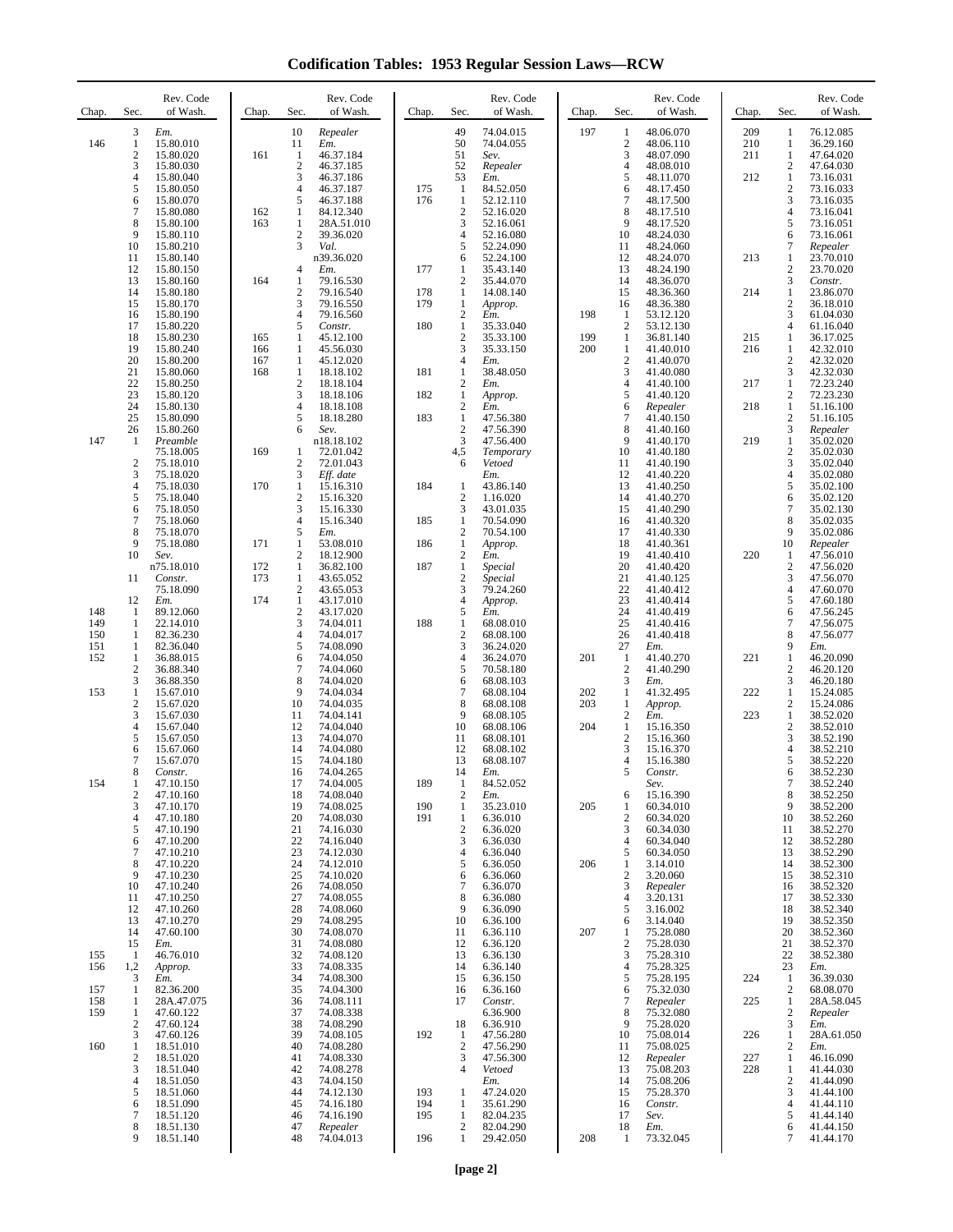**Codification Tables: 1953 Regular Session Laws—RCW**

| Chap.      | Sec.                             | Rev. Code<br>of Wash.   | Chap.      | Sec.                             | Rev. Code<br>of Wash.   | Chap.      | Sec.                                    | Rev. Code<br>of Wash.  | Chap. | Sec.                           | Rev. Code<br>of Wash.  | Chap.      | Sec.                           | Rev. Code<br>of Wash.   |
|------------|----------------------------------|-------------------------|------------|----------------------------------|-------------------------|------------|-----------------------------------------|------------------------|-------|--------------------------------|------------------------|------------|--------------------------------|-------------------------|
| 146        | 3<br>1                           | Em.<br>15.80.010        |            | 10<br>11                         | Repealer<br>Em.         |            | 49<br>50                                | 74.04.015<br>74.04.055 | 197   | $\mathbf{1}$<br>$\sqrt{2}$     | 48.06.070<br>48.06.110 | 209<br>210 | $\mathbf{1}$<br>1              | 76.12.085<br>36.29.160  |
|            | $\overline{2}$<br>3              | 15.80.020<br>15.80.030  | 161        | $\mathbf{1}$<br>$\overline{c}$   | 46.37.184<br>46.37.185  |            | 51<br>52                                | Sev.<br>Repealer       |       | 3<br>$\overline{4}$            | 48.07.090<br>48.08.010 | 211        | $\mathbf{1}$<br>$\overline{c}$ | 47.64.020<br>47.64.030  |
|            | 4<br>5                           | 15.80.040<br>15.80.050  |            | 3<br>$\overline{4}$              | 46.37.186<br>46.37.187  | 175        | 53<br>$\mathbf{1}$                      | Em.<br>84.52.050       |       | 5<br>6                         | 48.11.070<br>48.17.450 | 212        | $\mathbf{1}$<br>$\mathfrak{2}$ | 73.16.031<br>73.16.033  |
|            | 6<br>7                           | 15.80.070<br>15.80.080  | 162        | 5<br>1                           | 46.37.188<br>84.12.340  | 176        | $\mathbf{1}$<br>$\sqrt{2}$              | 52.12.110<br>52.16.020 |       | $\tau$<br>8                    | 48.17.500<br>48.17.510 |            | 3<br>$\overline{4}$            | 73.16.035<br>73.16.041  |
|            | 8<br>9                           | 15.80.100<br>15.80.110  | 163        | 1<br>$\boldsymbol{2}$            | 28A.51.010<br>39.36.020 |            | 3<br>$\overline{4}$                     | 52.16.061<br>52.16.080 |       | 9<br>10                        | 48.17.520<br>48.24.030 |            | 5<br>6                         | 73.16.051<br>73.16.061  |
|            | 10<br>11                         | 15.80.210<br>15.80.140  |            | 3                                | Val.<br>n39.36.020      |            | 5<br>6                                  | 52.24.090<br>52.24.100 |       | 11<br>12                       | 48.24.060<br>48.24.070 | 213        | 7<br>$\mathbf{1}$              | Repealer<br>23.70.010   |
|            | 12<br>13                         | 15.80.150<br>15.80.160  | 164        | 4<br>$\mathbf{1}$                | Em.<br>79.16.530        | 177        | 1<br>$\overline{2}$                     | 35.43.140<br>35.44.070 |       | 13<br>14                       | 48.24.190<br>48.36.070 |            | $\mathbf{2}$<br>3              | 23.70.020<br>Constr.    |
|            | 14                               | 15.80.180               |            | $\overline{c}$                   | 79.16.540               | 178        | 1                                       | 14.08.140              |       | 15                             | 48.36.360<br>48.36.380 | 214        | $\mathbf{1}$<br>$\mathbf{2}$   | 23.86.070               |
|            | 15<br>16                         | 15.80.170<br>15.80.190  |            | 3<br>$\overline{4}$              | 79.16.550<br>79.16.560  | 179        | 1<br>$\boldsymbol{2}$                   | Approp.<br>Em.         | 198   | 16<br>-1                       | 53.12.120              |            | 3                              | 36.18.010<br>61.04.030  |
|            | 17<br>18                         | 15.80.220<br>15.80.230  | 165        | 5<br>$\mathbf{1}$                | Constr.<br>45.12.100    | 180        | $\mathbf{1}$<br>$\overline{2}$          | 35.33.040<br>35.33.100 | 199   | $\overline{2}$<br>$\mathbf{1}$ | 53.12.130<br>36.81.140 | 215        | $\overline{4}$<br>$\mathbf{1}$ | 61.16.040<br>36.17.025  |
|            | 19<br>20                         | 15.80.240<br>15.80.200  | 166<br>167 | 1<br>1                           | 45.56.030<br>45.12.020  |            | 3<br>$\overline{4}$                     | 35.33.150<br>Em.       | 200   | 1<br>$\sqrt{2}$                | 41.40.010<br>41.40.070 | 216        | 1<br>$\mathbf{2}$              | 42.32.010<br>42.32.020  |
|            | 21<br>22                         | 15.80.060<br>15.80.250  | 168        | 1<br>$\mathbf{2}$                | 18.18.102<br>18.18.104  | 181        | $\mathbf{1}$<br>$\overline{c}$          | 38.48.050<br>Em.       |       | 3<br>$\overline{4}$            | 41.40.080<br>41.40.100 | 217        | 3<br>$\mathbf{1}$              | 42.32.030<br>72.23.240  |
|            | 23<br>24                         | 15.80.120<br>15.80.130  |            | 3<br>$\overline{4}$              | 18.18.106<br>18.18.108  | 182        | 1<br>$\overline{2}$                     | Approp.<br>Em.         |       | 5<br>6                         | 41.40.120<br>Repealer  | 218        | $\mathfrak{2}$<br>$\mathbf{1}$ | 72.23.230<br>51.16.100  |
|            | 25<br>26                         | 15.80.090<br>15.80.260  |            | 5<br>6                           | 18.18.280<br>Sev.       | 183        | $\mathbf{1}$<br>$\boldsymbol{2}$        | 47.56.380<br>47.56.390 |       | $\overline{7}$<br>8            | 41.40.150<br>41.40.160 |            | $\mathbf{2}$<br>3              | 51.16.105<br>Repealer   |
| 147        | -1                               | Preamble<br>75.18.005   | 169        | 1                                | n18.18.102<br>72.01.042 |            | 3<br>4,5                                | 47.56.400<br>Temporary |       | 9<br>10                        | 41.40.170<br>41.40.180 | 219        | $\mathbf{1}$<br>$\sqrt{2}$     | 35.02.020<br>35.02.030  |
|            | $\overline{c}$<br>3              | 75.18.010<br>75.18.020  |            | $\overline{\mathbf{c}}$<br>3     | 72.01.043<br>Eff. date  |            | 6                                       | Vetoed<br>Em.          |       | 11<br>12                       | 41.40.190<br>41.40.220 |            | 3<br>$\overline{4}$            | 35.02.040<br>35.02.080  |
|            | 4<br>5                           | 75.18.030<br>75.18.040  | 170        | $\mathbf{1}$<br>$\overline{c}$   | 15.16.310<br>15.16.320  | 184        | -1<br>$\overline{2}$                    | 43.86.140<br>1.16.020  |       | 13<br>14                       | 41.40.250<br>41.40.270 |            | 5<br>6                         | 35.02.100<br>35.02.120  |
|            | 6<br>7                           | 75.18.050<br>75.18.060  |            | 3<br>$\overline{4}$              | 15.16.330<br>15.16.340  | 185        | 3<br>$\mathbf{1}$                       | 43.01.035<br>70.54.090 |       | 15<br>16                       | 41.40.290<br>41.40.320 |            | 7<br>8                         | 35.02.130<br>35.02.035  |
|            | 8<br>9                           | 75.18.070<br>75.18.080  | 171        | 5<br>$\mathbf{1}$                | Em.<br>53.08.010        | 186        | $\overline{\mathbf{c}}$<br>$\mathbf{1}$ | 70.54.100<br>Approp.   |       | 17<br>18                       | 41.40.330<br>41.40.361 |            | 9<br>10                        | 35.02.086<br>Repealer   |
|            | 10                               | Sev.<br>n75.18.010      | 172        | $\mathfrak{2}$<br>$\mathbf{1}$   | 18.12.900<br>36.82.100  | 187        | $\boldsymbol{2}$<br>$\mathbf{1}$        | Em.<br>Special         |       | 19<br>20                       | 41.40.410<br>41.40.420 | 220        | 1<br>$\sqrt{2}$                | 47.56.010<br>47.56.020  |
|            | 11                               | Constr.<br>75.18.090    | 173        | $\mathbf{1}$                     | 43.65.052               |            | $\overline{c}$<br>3                     | Special                |       | 21<br>22                       | 41.40.125              |            | 3<br>$\overline{4}$            | 47.56.070               |
|            | 12                               | Em.                     | 174        | $\boldsymbol{2}$<br>$\mathbf{1}$ | 43.65.053<br>43.17.010  |            | $\overline{4}$                          | 79.24.260<br>Approp.   |       | 23                             | 41.40.412<br>41.40.414 |            | 5                              | 47.60.070<br>47.60.180  |
| 148<br>149 | -1<br>-1                         | 89.12.060<br>22.14.010  |            | $\sqrt{2}$<br>3                  | 43.17.020<br>74.04.011  | 188        | 5<br>$\mathbf{1}$                       | Em.<br>68.08.010       |       | 24<br>25                       | 41.40.419<br>41.40.416 |            | 6<br>7                         | 47.56.245<br>47.56.075  |
| 150<br>151 | 1<br>-1                          | 82.36.230<br>82.36.040  |            | $\overline{4}$<br>5              | 74.04.017<br>74.08.090  |            | $\overline{2}$<br>3                     | 68.08.100<br>36.24.020 |       | 26<br>27                       | 41.40.418<br>Em.       |            | 8<br>9                         | 47.56.077<br>Em.        |
| 152        | $\mathbf{1}$<br>$\boldsymbol{2}$ | 36.88.015<br>36.88.340  |            | 6<br>7                           | 74.04.050<br>74.04.060  |            | $\overline{4}$<br>5                     | 36.24.070<br>70.58.180 | 201   | 1<br>$\overline{c}$            | 41.40.270<br>41.40.290 | 221        | $\mathbf{1}$<br>$\sqrt{2}$     | 46.20.090<br>46.20.120  |
| 153        | 3<br>$\mathbf{1}$                | 36.88.350<br>15.67.010  |            | 8<br>9                           | 74.04.020<br>74.04.034  |            | 6<br>$\overline{7}$                     | 68.08.103<br>68.08.104 | 202   | 3<br>1                         | Em.<br>41.32.495       | 222        | 3<br>$\mathbf{1}$              | 46.20.180<br>15.24.085  |
|            | $\boldsymbol{2}$<br>3            | 15.67.020<br>15.67.030  |            | 10<br>11                         | 74.04.035<br>74.04.141  |            | 8<br>9                                  | 68.08.108<br>68.08.105 | 203   | 1<br>$\overline{c}$            | Approp.<br>Em.         | 223        | $\mathfrak{2}$<br>$\mathbf{1}$ | 15.24.086<br>38.52.020  |
|            | 4<br>5                           | 15.67.040<br>15.67.050  |            | 12<br>13                         | 74.04.040<br>74.04.070  |            | 10<br>11                                | 68.08.106<br>68.08.101 | 204   | 1<br>$\overline{c}$            | 15.16.350<br>15.16.360 |            | $\mathfrak{2}$<br>3            | 38.52.010<br>38.52.190  |
|            | 6<br>7                           | 15.67.060<br>15.67.070  |            | 14<br>15                         | 74.04.080<br>74.04.180  |            | 12<br>13                                | 68.08.102<br>68.08.107 |       | 3<br>$\overline{4}$            | 15.16.370<br>15.16.380 |            | $\overline{4}$<br>5            | 38.52.210<br>38.52.220  |
| 154        | 8<br>1                           | Constr.<br>47.10.150    |            | 16<br>17                         | 74.04.265<br>74.04.005  | 189        | 14<br>1                                 | Em.<br>84.52.052       |       | 5                              | Constr.<br>Sev.        |            | 6<br>7                         | 38.52.230<br>38.52.240  |
|            | 2<br>3                           | 47.10.160<br>47.10.170  |            | 18<br>19                         | 74.08.040<br>74.08.025  | 190        | 2<br>1                                  | Em.<br>35.23.010       | 205   | 6<br>1                         | 15.16.390<br>60.34.010 |            | 8<br>9                         | 38.52.250<br>38.52.200  |
|            | 4<br>5                           | 47.10.180<br>47.10.190  |            | 20<br>21                         | 74.08.030<br>74.16.030  | 191        | $\mathbf{1}$<br>$\sqrt{2}$              | 6.36.010<br>6.36.020   |       | $\overline{c}$<br>3            | 60.34.020<br>60.34.030 |            | 10<br>11                       | 38.52.260<br>38.52.270  |
|            | 6<br>$\tau$                      | 47.10.200<br>47.10.210  |            | 22<br>23                         | 74.16.040<br>74.12.030  |            | 3<br>$\overline{4}$                     | 6.36.030<br>6.36.040   |       | 4<br>5                         | 60.34.040<br>60.34.050 |            | 12<br>13                       | 38.52.280<br>38.52.290  |
|            | 8<br>9                           | 47.10.220<br>47.10.230  |            | 24<br>25                         | 74.12.010<br>74.10.020  |            | 5<br>6                                  | 6.36.050<br>6.36.060   | 206   | 1<br>$\overline{c}$            | 3.14.010<br>3.20.060   |            | 14<br>15                       | 38.52.300<br>38.52.310  |
|            | 10<br>11                         | 47.10.240<br>47.10.250  |            | 26<br>27                         | 74.08.050<br>74.08.055  |            | $\overline{7}$<br>8                     | 6.36.070<br>6.36.080   |       | 3<br>$\overline{4}$            | Repealer<br>3.20.131   |            | 16<br>17                       | 38.52.320<br>38.52.330  |
|            | 12                               | 47.10.260               |            | 28                               | 74.08.060               |            | 9                                       | 6.36.090               |       | 5                              | 3.16.002               |            | 18                             | 38.52.340               |
|            | 13<br>14                         | 47.10.270<br>47.60.100  |            | 29<br>30                         | 74.08.295<br>74.08.070  |            | 10<br>11                                | 6.36.100<br>6.36.110   | 207   | 6<br>1                         | 3.14.040<br>75.28.080  |            | 19<br>20                       | 38.52.350<br>38.52.360  |
| 155        | 15<br>-1                         | Em.<br>46.76.010        |            | 31<br>32                         | 74.08.080<br>74.08.120  |            | 12<br>13                                | 6.36.120<br>6.36.130   |       | $\boldsymbol{2}$<br>3          | 75.28.030<br>75.28.310 |            | 21<br>22                       | 38.52.370<br>38.52.380  |
| 156        | 1,2<br>3                         | Approp.<br>Em.          |            | 33<br>34                         | 74.08.335<br>74.08.300  |            | 14<br>15                                | 6.36.140<br>6.36.150   |       | 4<br>5                         | 75.28.325<br>75.28.195 | 224        | 23<br>1                        | Em.<br>36.39.030        |
| 157<br>158 | 1<br>$\mathbf{1}$                | 82.36.200<br>28A.47.075 |            | 35<br>36                         | 74.04.300<br>74.08.111  |            | 16<br>17                                | 6.36.160<br>Constr.    |       | 6<br>7                         | 75.32.030<br>Repealer  | 225        | $\overline{c}$<br>$\mathbf{1}$ | 68.08.070<br>28A.58.045 |
| 159        | 1<br>2                           | 47.60.122<br>47.60.124  |            | 37<br>38                         | 74.08.338<br>74.08.290  |            | 18                                      | 6.36.900<br>6.36.910   |       | 8<br>9                         | 75.32.080<br>75.28.020 |            | $\boldsymbol{2}$<br>3          | Repealer<br>Em.         |
| 160        | 3<br>1                           | 47.60.126<br>18.51.010  |            | 39<br>40                         | 74.08.105<br>74.08.280  | 192        | -1<br>$\overline{2}$                    | 47.56.280<br>47.56.290 |       | 10<br>11                       | 75.08.014<br>75.08.025 | 226        | $\mathbf{1}$<br>$\overline{c}$ | 28A.61.050<br>Em.       |
|            | 2<br>3                           | 18.51.020<br>18.51.040  |            | 41<br>42                         | 74.08.330<br>74.08.278  |            | 3<br>4                                  | 47.56.300<br>Vetoed    |       | 12<br>13                       | Repealer<br>75.08.203  | 227<br>228 | $\mathbf{1}$<br>1              | 46.16.090<br>41.44.030  |
|            | 4<br>5                           | 18.51.050<br>18.51.060  |            | 43<br>44                         | 74.04.150<br>74.12.130  | 193        | 1                                       | Em.<br>47.24.020       |       | 14<br>15                       | 75.08.206<br>75.28.370 |            | $\mathfrak{2}$<br>3            | 41.44.090<br>41.44.100  |
|            | 6<br>7                           | 18.51.090<br>18.51.120  |            | 45<br>46                         | 74.16.180<br>74.16.190  | 194<br>195 | $\mathbf{1}$<br>1                       | 35.61.290<br>82.04.235 |       | 16<br>17                       | Constr.<br>Sev.        |            | $\overline{4}$<br>5            | 41.44.110<br>41.44.140  |
|            | 8<br>9                           | 18.51.130<br>18.51.140  |            | 47<br>48                         | Repealer<br>74.04.013   | 196        | $\overline{c}$<br>1                     | 82.04.290<br>29.42.050 | 208   | 18<br>-1                       | Em.<br>73.32.045       |            | 6<br>7                         | 41.44.150<br>41.44.170  |
|            |                                  |                         |            |                                  |                         |            |                                         |                        |       |                                |                        |            |                                |                         |